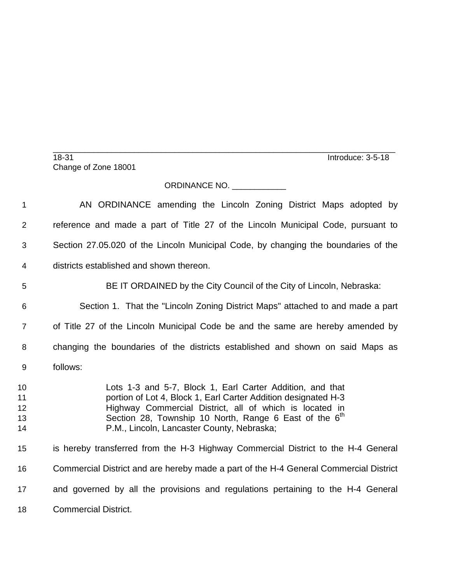\_\_\_\_\_\_\_\_\_\_\_\_\_\_\_\_\_\_\_\_\_\_\_\_\_\_\_\_\_\_\_\_\_\_\_\_\_\_\_\_\_\_\_\_\_\_\_\_\_\_\_\_\_\_\_\_\_\_\_\_\_\_\_\_\_\_\_\_\_\_\_\_\_\_\_\_ 18-31 Introduce: 3-5-18 Change of Zone 18001

## ORDINANCE NO.

 AN ORDINANCE amending the Lincoln Zoning District Maps adopted by reference and made a part of Title 27 of the Lincoln Municipal Code, pursuant to Section 27.05.020 of the Lincoln Municipal Code, by changing the boundaries of the districts established and shown thereon. BE IT ORDAINED by the City Council of the City of Lincoln, Nebraska: Section 1. That the "Lincoln Zoning District Maps" attached to and made a part of Title 27 of the Lincoln Municipal Code be and the same are hereby amended by changing the boundaries of the districts established and shown on said Maps as follows: Lots 1-3 and 5-7, Block 1, Earl Carter Addition, and that **1 portion of Lot 4, Block 1, Earl Carter Addition designated H-3**  Highway Commercial District, all of which is located in 13 Section 28, Township 10 North, Range 6 East of the  $6<sup>th</sup>$  P.M., Lincoln, Lancaster County, Nebraska; is hereby transferred from the H-3 Highway Commercial District to the H-4 General Commercial District and are hereby made a part of the H-4 General Commercial District and governed by all the provisions and regulations pertaining to the H-4 General Commercial District.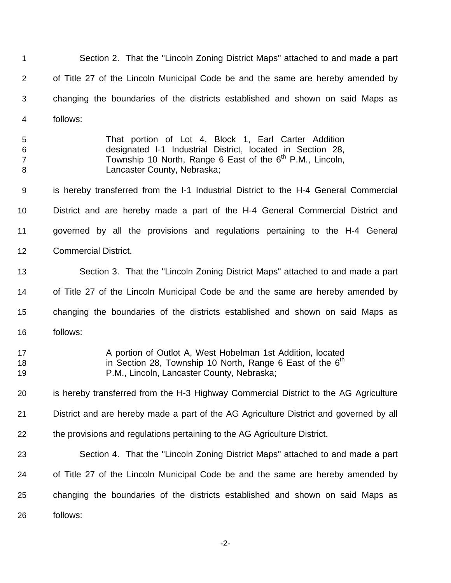| 1                             | Section 2. That the "Lincoln Zoning District Maps" attached to and made a part                                                                                                                                             |
|-------------------------------|----------------------------------------------------------------------------------------------------------------------------------------------------------------------------------------------------------------------------|
| $\overline{2}$                | of Title 27 of the Lincoln Municipal Code be and the same are hereby amended by                                                                                                                                            |
| 3                             | changing the boundaries of the districts established and shown on said Maps as                                                                                                                                             |
| 4                             | follows:                                                                                                                                                                                                                   |
| 5<br>6<br>$\overline{7}$<br>8 | That portion of Lot 4, Block 1, Earl Carter Addition<br>designated I-1 Industrial District, located in Section 28,<br>Township 10 North, Range 6 East of the 6 <sup>th</sup> P.M., Lincoln,<br>Lancaster County, Nebraska; |
| $9\,$                         | is hereby transferred from the I-1 Industrial District to the H-4 General Commercial                                                                                                                                       |
| 10                            | District and are hereby made a part of the H-4 General Commercial District and                                                                                                                                             |
| 11                            | governed by all the provisions and regulations pertaining to the H-4 General                                                                                                                                               |
| 12                            | <b>Commercial District.</b>                                                                                                                                                                                                |
| 13                            | Section 3. That the "Lincoln Zoning District Maps" attached to and made a part                                                                                                                                             |
| 14                            | of Title 27 of the Lincoln Municipal Code be and the same are hereby amended by                                                                                                                                            |
| 15                            | changing the boundaries of the districts established and shown on said Maps as                                                                                                                                             |
| 16                            | follows:                                                                                                                                                                                                                   |
| 17<br>18<br>19                | A portion of Outlot A, West Hobelman 1st Addition, located<br>in Section 28, Township 10 North, Range 6 East of the $6th$<br>P.M., Lincoln, Lancaster County, Nebraska;                                                    |
| 20                            | is hereby transferred from the H-3 Highway Commercial District to the AG Agriculture                                                                                                                                       |
| 21                            | District and are hereby made a part of the AG Agriculture District and governed by all                                                                                                                                     |
| 22                            | the provisions and regulations pertaining to the AG Agriculture District.                                                                                                                                                  |
| 23                            | Section 4. That the "Lincoln Zoning District Maps" attached to and made a part                                                                                                                                             |
| 24                            | of Title 27 of the Lincoln Municipal Code be and the same are hereby amended by                                                                                                                                            |
| 25                            | changing the boundaries of the districts established and shown on said Maps as                                                                                                                                             |
| 26                            | follows:                                                                                                                                                                                                                   |

-2-